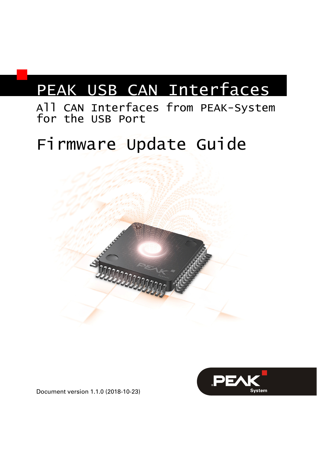## PEAK USB CAN Interfaces

### All CAN Interfaces from PEAK-System for the USB Port

# Firmware Update Guide





Document version 1.1.0 (2018-10-23)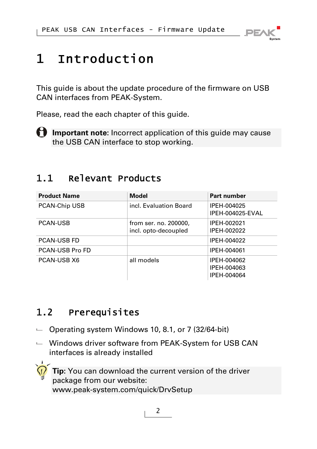

### 1 Introduction

This guide is about the update procedure of the firmware on USB CAN interfaces from PEAK-System.

Please, read the each chapter of this guide.

**f** Important note: Incorrect application of this guide may cause the USB CAN interface to stop working.

#### 1.1 Relevant Products

| <b>Product Name</b> | Model                                         | Part number                               |
|---------------------|-----------------------------------------------|-------------------------------------------|
| PCAN-Chip USB       | incl. Evaluation Board                        | IPEH-004025<br>IPEH-004025-EVAL           |
| <b>PCAN-USB</b>     | from ser. no. 200000,<br>incl. opto-decoupled | IPEH-002021<br>IPEH-002022                |
| <b>PCAN-USB FD</b>  |                                               | IPEH-004022                               |
| PCAN-USB Pro FD     |                                               | IPEH-004061                               |
| PCAN-USB X6         | all models                                    | IPEH-004062<br>IPEH-004063<br>IPEH-004064 |

### 1.2 Prerequisites

- $\sim$  Operating system Windows 10, 8.1, or 7 (32/64-bit)
- $\blacksquare$  Windows driver software from PEAK-System for USB CAN interfaces is already installed

**Tip:** You can download the current version of the driver package from our website: [www.peak-system.com/quick/DrvSetup](https://www.peak-system.com/quick/DrvSetup)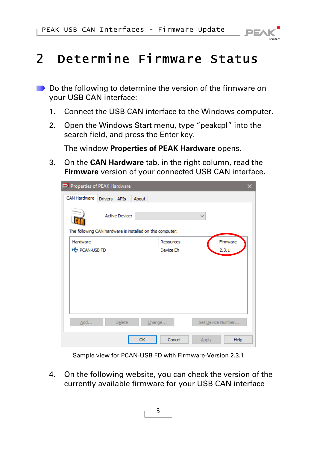

### 2 Determine Firmware Status

- Do the following to determine the version of the firmware on your USB CAN interface:
	- 1. Connect the USB CAN interface to the Windows computer.
	- 2. Open the Windows Start menu, type "peakcpl" into the search field, and press the Enter key.

The window **Properties of PEAK Hardware** opens.

3. On the **CAN Hardware** tab, in the right column, read the **Firmware** version of your connected USB CAN interface.

|                      | Properties of PEAK Hardware |                                                           |                      | × |
|----------------------|-----------------------------|-----------------------------------------------------------|----------------------|---|
| <b>CAN Hardware</b>  | Drivers <b>APIs</b>         | About                                                     |                      |   |
|                      | <b>Active Device:</b>       | The following CAN hardware is installed on this computer: | $\checkmark$         |   |
| Hardware             |                             | Resources                                                 | Firmware             |   |
| <b>C</b> PCAN-USB FD |                             | Device Eh                                                 | 2.3.1                |   |
|                      |                             |                                                           |                      |   |
|                      |                             |                                                           |                      |   |
|                      |                             |                                                           |                      |   |
|                      |                             |                                                           |                      |   |
|                      |                             |                                                           |                      |   |
| Add                  | Delete                      | Change                                                    | Set Device Number    |   |
|                      |                             | Cancel<br>OK                                              | Help<br><b>Apply</b> |   |

Sample view for PCAN-USB FD with Firmware-Version 2.3.1

4. On the following website, you can check the version of the currently available firmware for your USB CAN interface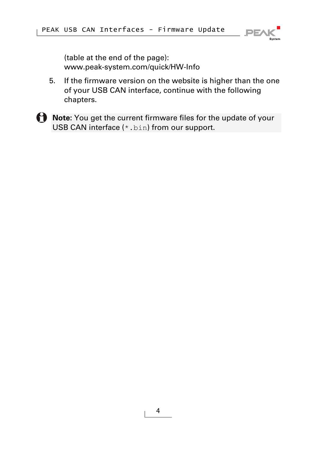

(table at the end of the page): [www.peak-system.com/quick/HW-Info](http://www.peak-system.com/quick/HW-Info) 

- 5. If the firmware version on the website is higher than the one of your USB CAN interface, continue with the following chapters.
- **Note:** You get the current firmware files for the update of your USB CAN interface (\*.bin) from our support.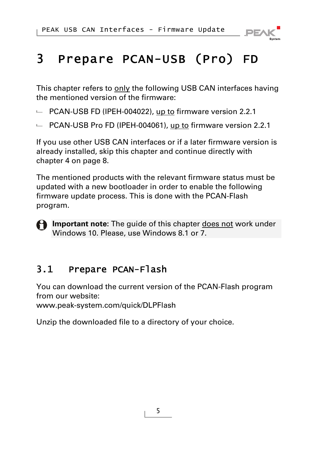

### 3 Prepare PCAN-USB (Pro) FD

This chapter refers to only the following USB CAN interfaces having the mentioned version of the firmware:

- $\blacksquare$  PCAN-USB FD (IPEH-004022), up to firmware version 2.2.1
- $\blacksquare$  PCAN-USB Pro FD (IPEH-004061), up to firmware version 2.2.1

If you use other USB CAN interfaces or if a later firmware version is already installed, skip this chapter and continue directly with chapter [4](#page-7-0) [on page 8.](#page-7-0)

The mentioned products with the relevant firmware status must be updated with a new bootloader in order to enable the following firmware update process. This is done with the PCAN-Flash program.

**P** Important note: The guide of this chapter does not work under Windows 10. Please, use Windows 8.1 or 7.

### 3.1 Prepare PCAN-Flash

You can download the current version of the PCAN-Flash program from our website:

[www.peak-system.com/quick/DLPFlash](http://www.peak-system.com/quick/DLPFlash)

Unzip the downloaded file to a directory of your choice.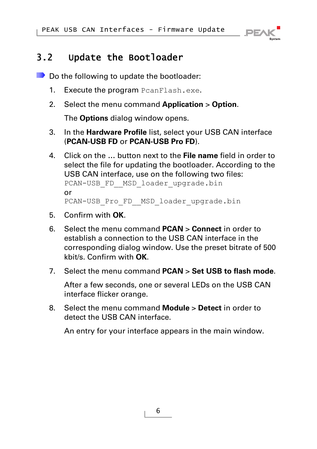

#### 3.2 Update the Bootloader

Do the following to update the bootloader:

- 1. Execute the program PcanFlash.exe.
- 2. Select the menu command **Application** > **Option**.

The **Options** dialog window opens.

- 3. In the **Hardware Profile** list, select your USB CAN interface (**PCAN-USB FD** or **PCAN-USB Pro FD**).
- 4. Click on the **…** button next to the **File name** field in order to select the file for updating the bootloader. According to the USB CAN interface, use on the following two files: PCAN-USB\_FD\_\_MSD\_loader\_upgrade.bin or PCAN-USB\_Pro\_FD\_\_MSD\_loader\_upgrade.bin
- 5. Confirm with **OK**.
- 6. Select the menu command **PCAN** > **Connect** in order to establish a connection to the USB CAN interface in the corresponding dialog window. Use the preset bitrate of 500 kbit/s. Confirm with **OK**.
- 7. Select the menu command **PCAN** > **Set USB to flash mode**.

After a few seconds, one or several LEDs on the USB CAN interface flicker orange.

8. Select the menu command **Module** > **Detect** in order to detect the USB CAN interface.

An entry for your interface appears in the main window.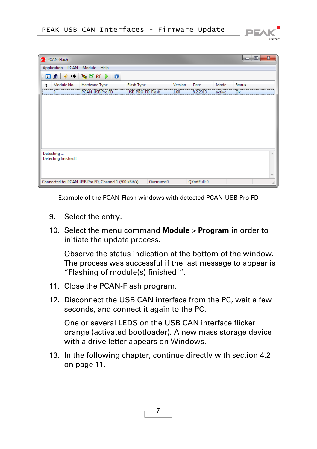

| <b>2</b> PCAN-Flash |                                                       |                   |             |         |             |        | o             | $\overline{\mathbf{x}}$<br>▣ |
|---------------------|-------------------------------------------------------|-------------------|-------------|---------|-------------|--------|---------------|------------------------------|
| Application         | PCAN Module Help                                      |                   |             |         |             |        |               |                              |
| 図面                  | $4 + \frac{1}{4}$ of FC $\triangleright$   0          |                   |             |         |             |        |               |                              |
| Module No.          | Hardware Type                                         | <b>Flash Type</b> |             | Version | Date        | Mode   | <b>Status</b> |                              |
|                     | PCAN-USB Pro FD                                       | USB_PRO_FD_Flash  |             | 1.00    | 8.2.2013    | active | Ok            |                              |
|                     |                                                       |                   |             |         |             |        |               |                              |
|                     |                                                       |                   |             |         |             |        |               |                              |
|                     |                                                       |                   |             |         |             |        |               |                              |
|                     |                                                       |                   |             |         |             |        |               |                              |
|                     |                                                       |                   |             |         |             |        |               |                              |
|                     |                                                       |                   |             |         |             |        |               |                              |
|                     |                                                       |                   |             |         |             |        |               |                              |
| Detecting           |                                                       |                   |             |         |             |        |               | ⋏                            |
| Detecting finished! |                                                       |                   |             |         |             |        |               |                              |
|                     |                                                       |                   |             |         |             |        |               |                              |
|                     |                                                       |                   |             |         |             |        |               |                              |
|                     | Connected to: PCAN-USB Pro FD, Channel 1 (500 kBit/s) |                   | Overruns: 0 |         | QXmtFull: 0 |        |               |                              |

Example of the PCAN-Flash windows with detected PCAN-USB Pro FD

- 9. Select the entry.
- 10. Select the menu command **Module** > **Program** in order to initiate the update process.

Observe the status indication at the bottom of the window. The process was successful if the last message to appear is "Flashing of module(s) finished!".

- 11. Close the PCAN-Flash program.
- 12. Disconnect the USB CAN interface from the PC, wait a few seconds, and connect it again to the PC.

One or several LEDS on the USB CAN interface flicker orange (activated bootloader). A new mass storage device with a drive letter appears on Windows.

13. In the following chapter, continue directly with section [4.2](#page-10-0) [on page 11](#page-10-0).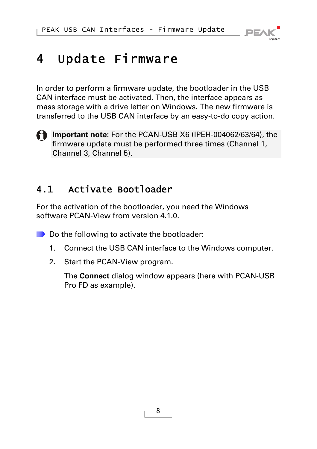

### <span id="page-7-0"></span>4 Update Firmware

In order to perform a firmware update, the bootloader in the USB CAN interface must be activated. Then, the interface appears as mass storage with a drive letter on Windows. The new firmware is transferred to the USB CAN interface by an easy-to-do copy action.



### 4.1 Activate Bootloader

For the activation of the bootloader, you need the Windows software PCAN-View from version 4.1.0.

■ Do the following to activate the bootloader:

- 1. Connect the USB CAN interface to the Windows computer.
- 2. Start the PCAN-View program.

The **Connect** dialog window appears (here with PCAN-USB Pro FD as example).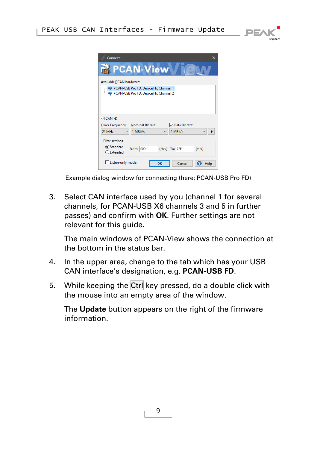



Example dialog window for connecting (here: PCAN-USB Pro FD)

3. Select CAN interface used by you (channel 1 for several channels, for PCAN-USB X6 channels 3 and 5 in further passes) and confirm with **OK**. Further settings are not relevant for this guide.

The main windows of PCAN-View shows the connection at the bottom in the status bar.

- 4. In the upper area, change to the tab which has your USB CAN interface's designation, e.g. **PCAN-USB FD**.
- 5. While keeping the Ctrl key pressed, do a double click with the mouse into an empty area of the window.

The **Update** button appears on the right of the firmware information.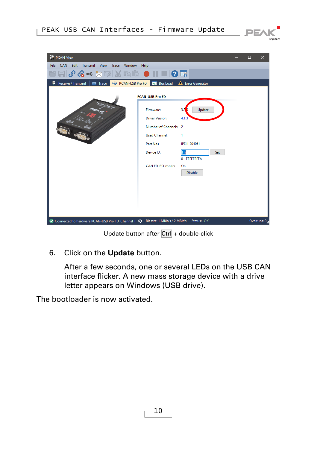

| PCAN-View                                                                                                      |                                                                                                                 |                                                                                       |  | О | ×           |  |  |
|----------------------------------------------------------------------------------------------------------------|-----------------------------------------------------------------------------------------------------------------|---------------------------------------------------------------------------------------|--|---|-------------|--|--|
| Transmit View Trace<br><b>File</b><br><b>CAN</b><br>Edit<br>Window                                             | Help                                                                                                            |                                                                                       |  |   |             |  |  |
| <b>∥ ◈ ◈ ← ☆ ☆ ☆ ☆ ☆ ☆ ☆ ☆ ☆ ☆ ☆ ☆ ☆ ☆ ↓ ↓ ☆ ☆</b>                                                             |                                                                                                                 |                                                                                       |  |   |             |  |  |
| Receive / Transmit   88 Trace   $\leftrightarrow$ PCAN-USB Pro FD   20 Bus Load                                |                                                                                                                 | <b>Error Generator</b><br>А                                                           |  |   |             |  |  |
| <b>PCAN-USB Pro FD</b>                                                                                         |                                                                                                                 |                                                                                       |  |   |             |  |  |
|                                                                                                                | Firmware:<br><b>Driver Version:</b><br>Number of Channels: 2<br><b>Used Channel:</b><br>Part No.:<br>Device ID: | Update<br>3.2 <sub>b</sub><br>4.1.3<br>1<br>IPEH-004061<br>Fh<br>Set<br>0 - FFFFFFFFh |  |   |             |  |  |
|                                                                                                                | CAN FD ISO-mode:                                                                                                | On<br><b>Disable</b>                                                                  |  |   |             |  |  |
| Connected to hardware PCAN-USB Pro FD, Channel 1 < <a> +</a> + Bit rate: 1 MBit/s / 2 MBit/s   Status: OK<br>o |                                                                                                                 |                                                                                       |  |   | Overruns: 0 |  |  |

Update button after Ctrl + double-click

6. Click on the **Update** button.

After a few seconds, one or several LEDs on the USB CAN interface flicker. A new mass storage device with a drive letter appears on Windows (USB drive).

The bootloader is now activated.